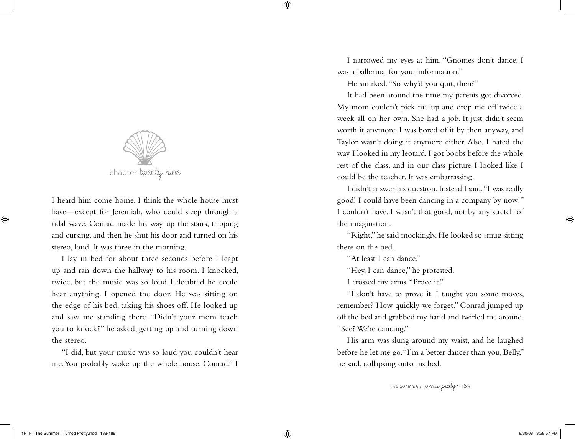

I heard him come home. I think the whole house must have—except for Jeremiah, who could sleep through a tidal wave. Conrad made his way up the stairs, tripping and cursing, and then he shut his door and turned on his stereo, loud. It was three in the morning.

I lay in bed for about three seconds before I leapt up and ran down the hallway to his room. I knocked, twice, but the music was so loud I doubted he could hear anything. I opened the door. He was sitting on the edge of his bed, taking his shoes off. He looked up and saw me standing there. "Didn't your mom teach you to knock?" he asked, getting up and turning down the stereo.

"I did, but your music was so loud you couldn't hear me. You probably woke up the whole house, Conrad." I

I narrowed my eyes at him. "Gnomes don't dance. I was a ballerina, for your information."

He smirked. "So why'd you quit, then?"

It had been around the time my parents got divorced. My mom couldn't pick me up and drop me off twice a week all on her own. She had a job. It just didn't seem worth it anymore. I was bored of it by then anyway, and Taylor wasn't doing it anymore either. Also, I hated the way I looked in my leotard. I got boobs before the whole rest of the class, and in our class picture I looked like I could be the teacher. It was embarrassing.

I didn't answer his question. Instead I said, "I was really good! I could have been dancing in a company by now!" I couldn't have. I wasn't that good, not by any stretch of the imagination.

"Right," he said mockingly. He looked so smug sitting there on the bed.

"At least I can dance."

"Hey, I can dance," he protested.

I crossed my arms. "Prove it."

"I don't have to prove it. I taught you some moves, remember? How quickly we forget." Conrad jumped up off the bed and grabbed my hand and twirled me around. "See? We're dancing."

His arm was slung around my waist, and he laughed before he let me go. "I'm a better dancer than you, Belly," he said, collapsing onto his bed.